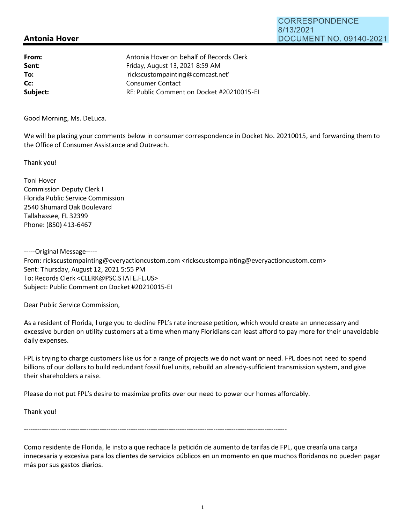## **Antonia Hover**

| From:    | Antonia Hover on behalf of Records Clerk  |
|----------|-------------------------------------------|
| Sent:    | Friday, August 13, 2021 8:59 AM           |
| To:      | 'rickscustompainting@comcast.net'         |
| Cc:      | Consumer Contact                          |
| Subject: | RE: Public Comment on Docket #20210015-EI |
|          |                                           |

Good Morning, Ms. Deluca.

We will be placing your comments below in consumer correspondence in Docket No. 20210015, and forwarding them to the Office of Consumer Assistance and Outreach.

Thank you!

Toni Hover Commission Deputy Clerk I Florida Public Service Commission 2540 Shumard Oak Boulevard Tallahassee, FL 32399 Phone: (850) 413-6467

-----Original Message----- From: rickscustompainting@everyactioncustom.com <rickscustompainting@everyactioncustom.com> Sent: Thursday, August 12, 20215:55 PM To: Records Clerk <CLERK@PSC.STATE.FL.US> Subject: Public Comment on Docket #20210015-EI

Dear Public Service Commission,

As a resident of Florida, I urge you to decline FPL's rate increase petition, which would create an unnecessary and excessive burden on utility customers at a time when many Floridians can least afford to pay more for their unavoidable daily expenses.

FPL is trying to charge customers like us for a range of projects we do not want or need. FPL does not need to spend billions of our dollars to build redundant fossil fuel units, rebuild an already-sufficient transmission system, and give their shareholders a raise.

Please do not put FPL's desire to maximize profits over our need to power our homes affordably.

Thank you!

Como residente de Florida, le insto a que rechace la petición de aumento de tarifas de FPL, que crearía una carga innecesaria y excesiva para los clientes de servicios públicos en un momento en que muchos floridanos no pueden pagar más por sus gastos diarios.